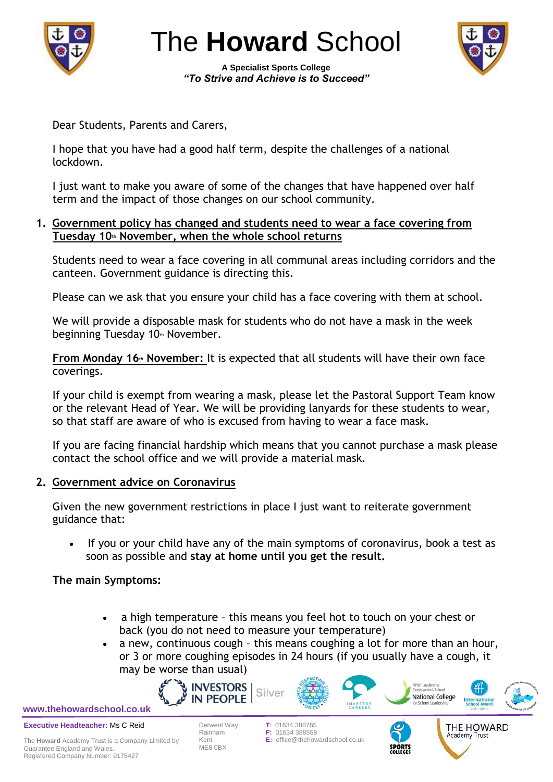

The **Howard** School

**A Specialist Sports College** *"To Strive and Achieve is to Succeed"*



Dear Students, Parents and Carers,

I hope that you have had a good half term, despite the challenges of a national lockdown.

I just want to make you aware of some of the changes that have happened over half term and the impact of those changes on our school community.

# **1. Government policy has changed and students need to wear a face covering from Tuesday 10th November, when the whole school returns**

Students need to wear a face covering in all communal areas including corridors and the canteen. Government guidance is directing this.

Please can we ask that you ensure your child has a face covering with them at school.

We will provide a disposable mask for students who do not have a mask in the week beginning Tuesday 10th November.

**From Monday 16<sup>th</sup> November:** It is expected that all students will have their own face coverings.

If your child is exempt from wearing a mask, please let the Pastoral Support Team know or the relevant Head of Year. We will be providing lanyards for these students to wear, so that staff are aware of who is excused from having to wear a face mask.

If you are facing financial hardship which means that you cannot purchase a mask please contact the school office and we will provide a material mask.

# **2. Government advice on Coronavirus**

Given the new government restrictions in place I just want to reiterate government guidance that:

 If you or your child have any of the main symptoms of coronavirus, book a test as soon as possible and **stay at home until you get the result.**

# **The main Symptoms:**

 a high temperature – this means you feel hot to touch on your chest or back (you do not need to measure your temperature)

F: 01634 388558

 a new, continuous cough – this means coughing a lot for more than an hour, or 3 or more coughing episodes in 24 hours (if you usually have a cough, it may be worse than usual)





**Executive Headteacher:** Ms C Reid





**National College** 

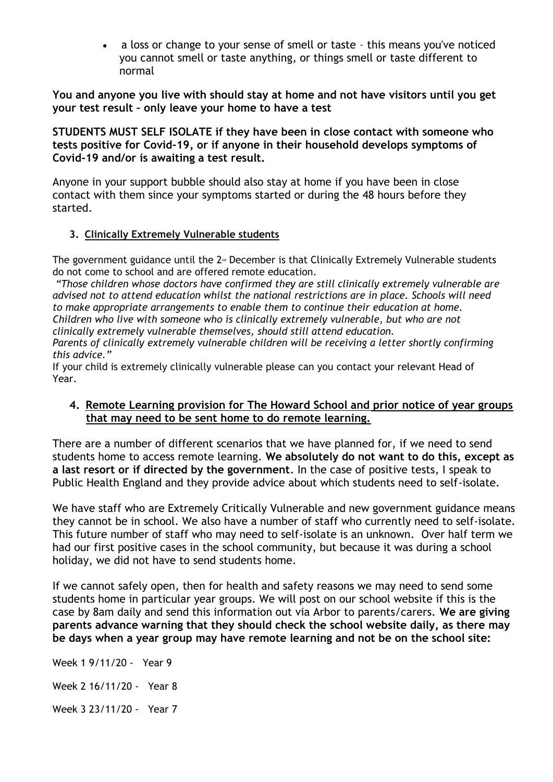a loss or change to your sense of smell or taste – this means you've noticed you cannot smell or taste anything, or things smell or taste different to normal

**You and anyone you live with should stay at home and not have visitors until you get your test result – only leave your home to have a test**

**STUDENTS MUST SELF ISOLATE if they have been in close contact with someone who tests positive for Covid-19, or if anyone in their household develops symptoms of Covid-19 and/or is awaiting a test result.**

Anyone in your support bubble should also stay at home if you have been in close contact with them since your symptoms started or during the 48 hours before they started.

# **3. Clinically Extremely Vulnerable students**

The government guidance until the  $2<sup>nd</sup>$  December is that Clinically Extremely Vulnerable students do not come to school and are offered remote education.

*"Those children whose doctors have confirmed they are still clinically extremely vulnerable are advised not to attend education whilst the national restrictions are in place. Schools will need to make appropriate arrangements to enable them to continue their education at home. Children who live with someone who is clinically extremely vulnerable, but who are not clinically extremely vulnerable themselves, should still attend education.*

*Parents of clinically extremely vulnerable children will be receiving a letter shortly confirming this advice."*

If your child is extremely clinically vulnerable please can you contact your relevant Head of Year.

# **4. Remote Learning provision for The Howard School and prior notice of year groups that may need to be sent home to do remote learning.**

There are a number of different scenarios that we have planned for, if we need to send students home to access remote learning. **We absolutely do not want to do this, except as a last resort or if directed by the government**. In the case of positive tests, I speak to Public Health England and they provide advice about which students need to self-isolate.

We have staff who are Extremely Critically Vulnerable and new government guidance means they cannot be in school. We also have a number of staff who currently need to self-isolate. This future number of staff who may need to self-isolate is an unknown. Over half term we had our first positive cases in the school community, but because it was during a school holiday, we did not have to send students home.

If we cannot safely open, then for health and safety reasons we may need to send some students home in particular year groups. We will post on our school website if this is the case by 8am daily and send this information out via Arbor to parents/carers. **We are giving parents advance warning that they should check the school website daily, as there may be days when a year group may have remote learning and not be on the school site:**

Week 1 9/11/20 - Year 9 Week 2 16/11/20 - Year 8 Week 3 23/11/20 - Year 7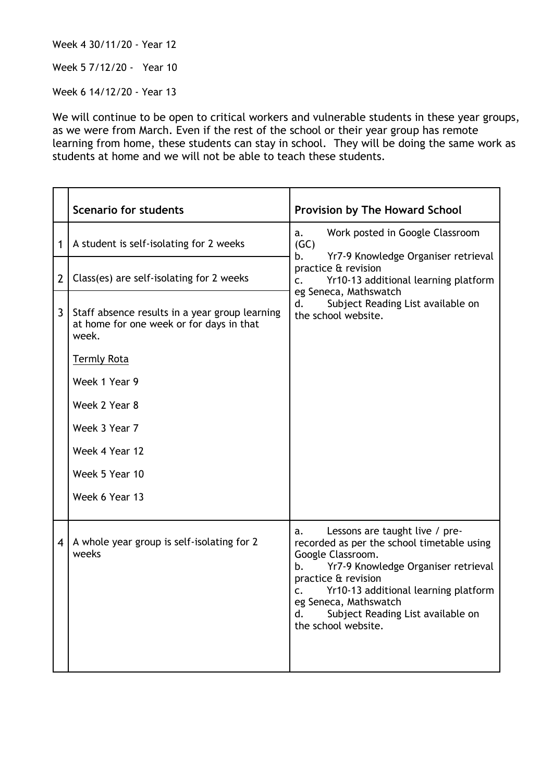Week 4 30/11/20 - Year 12

Week 5 7/12/20 - Year 10

Week 6 14/12/20 - Year 13

We will continue to be open to critical workers and vulnerable students in these year groups, as we were from March. Even if the rest of the school or their year group has remote learning from home, these students can stay in school. They will be doing the same work as students at home and we will not be able to teach these students.

|                | <b>Scenario for students</b>                                                                        | <b>Provision by The Howard School</b>                                                                                                                                                                                                                                                                                |
|----------------|-----------------------------------------------------------------------------------------------------|----------------------------------------------------------------------------------------------------------------------------------------------------------------------------------------------------------------------------------------------------------------------------------------------------------------------|
| $\mathbf 1$    | A student is self-isolating for 2 weeks                                                             | Work posted in Google Classroom<br>a.<br>(GC)<br>Yr7-9 Knowledge Organiser retrieval<br>b.                                                                                                                                                                                                                           |
| $\overline{2}$ | Class(es) are self-isolating for 2 weeks                                                            | practice & revision<br>Yr10-13 additional learning platform<br>$\mathsf{C}$ .<br>eg Seneca, Mathswatch<br>d.<br>Subject Reading List available on<br>the school website.                                                                                                                                             |
| 3              | Staff absence results in a year group learning<br>at home for one week or for days in that<br>week. |                                                                                                                                                                                                                                                                                                                      |
|                | <b>Termly Rota</b>                                                                                  |                                                                                                                                                                                                                                                                                                                      |
|                | Week 1 Year 9                                                                                       |                                                                                                                                                                                                                                                                                                                      |
|                | Week 2 Year 8                                                                                       |                                                                                                                                                                                                                                                                                                                      |
|                | Week 3 Year 7                                                                                       |                                                                                                                                                                                                                                                                                                                      |
|                | Week 4 Year 12                                                                                      |                                                                                                                                                                                                                                                                                                                      |
|                | Week 5 Year 10                                                                                      |                                                                                                                                                                                                                                                                                                                      |
|                | Week 6 Year 13                                                                                      |                                                                                                                                                                                                                                                                                                                      |
| 4 I            | A whole year group is self-isolating for 2<br>weeks                                                 | Lessons are taught live / pre-<br>a.<br>recorded as per the school timetable using<br>Google Classroom.<br>Yr7-9 Knowledge Organiser retrieval<br>b.<br>practice & revision<br>Yr10-13 additional learning platform<br>C.<br>eg Seneca, Mathswatch<br>d.<br>Subject Reading List available on<br>the school website. |